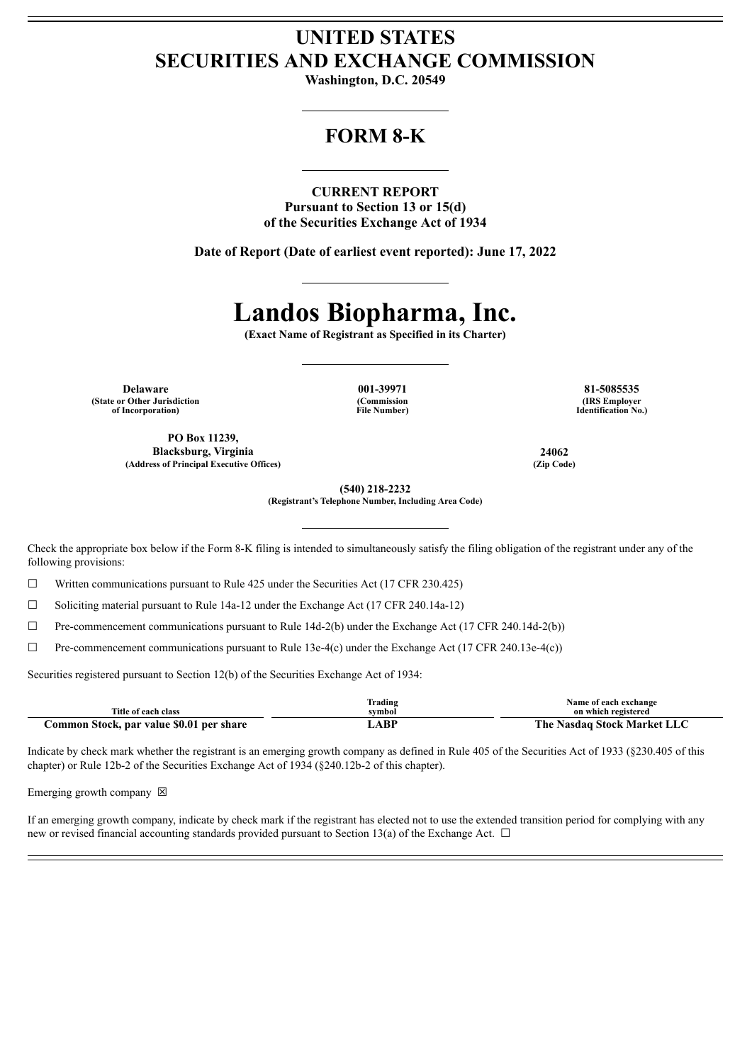# **UNITED STATES SECURITIES AND EXCHANGE COMMISSION**

**Washington, D.C. 20549**

## **FORM 8-K**

**CURRENT REPORT Pursuant to Section 13 or 15(d) of the Securities Exchange Act of 1934**

**Date of Report (Date of earliest event reported): June 17, 2022**

# **Landos Biopharma, Inc.**

**(Exact Name of Registrant as Specified in its Charter)**

**Delaware 001-39971 81-5085535 (State or Other Jurisdiction of Incorporation)**

**(Commission File Number)**

**(IRS Employer Identification No.)**

**PO Box 11239, Blacksburg, Virginia 24062 (Address of Principal Executive Offices) (Zip Code)**

**(540) 218-2232**

**(Registrant's Telephone Number, Including Area Code)**

Check the appropriate box below if the Form 8-K filing is intended to simultaneously satisfy the filing obligation of the registrant under any of the following provisions:

 $\Box$  Written communications pursuant to Rule 425 under the Securities Act (17 CFR 230.425)

 $\Box$  Soliciting material pursuant to Rule 14a-12 under the Exchange Act (17 CFR 240.14a-12)

☐ Pre-commencement communications pursuant to Rule 14d-2(b) under the Exchange Act (17 CFR 240.14d-2(b))

☐ Pre-commencement communications pursuant to Rule 13e-4(c) under the Exchange Act (17 CFR 240.13e-4(c))

Securities registered pursuant to Section 12(b) of the Securities Exchange Act of 1934:

| Title of each class                      | Trading | Name of each exchange<br>on which registered |
|------------------------------------------|---------|----------------------------------------------|
|                                          | svmbol  |                                              |
| Common Stock, par value \$0.01 per share | ABP     | The Nasdaq Stock Market LLC                  |

Indicate by check mark whether the registrant is an emerging growth company as defined in Rule 405 of the Securities Act of 1933 (§230.405 of this chapter) or Rule 12b-2 of the Securities Exchange Act of 1934 (§240.12b-2 of this chapter).

Emerging growth company  $\boxtimes$ 

If an emerging growth company, indicate by check mark if the registrant has elected not to use the extended transition period for complying with any new or revised financial accounting standards provided pursuant to Section 13(a) of the Exchange Act.  $\Box$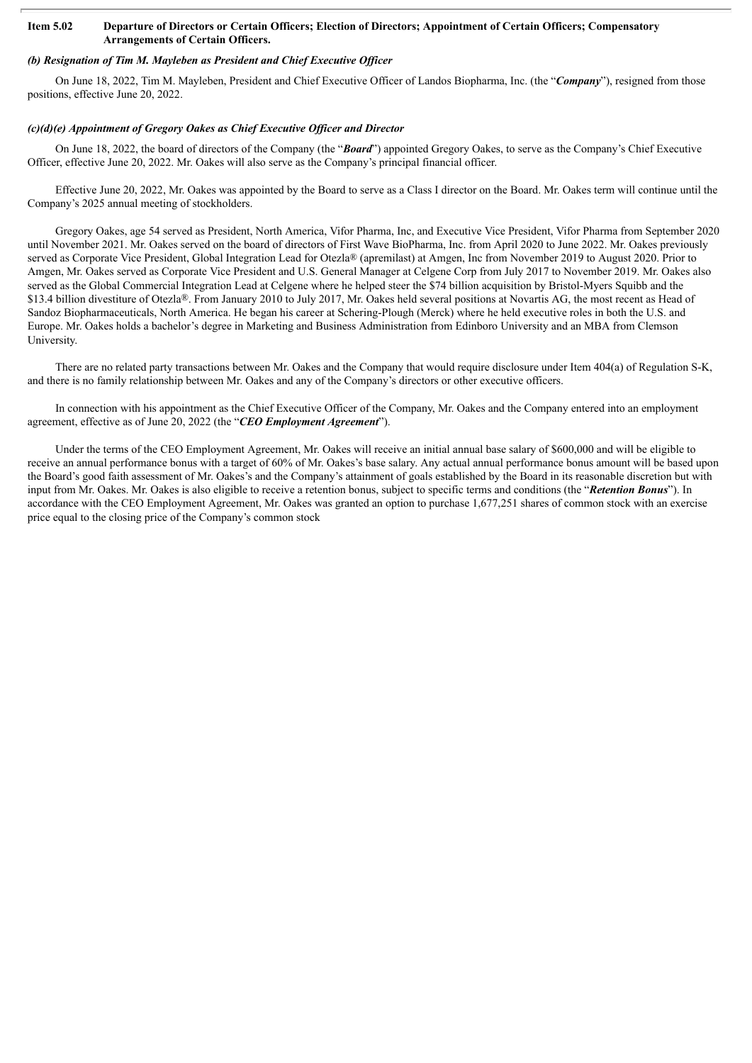#### Item 5.02 Departure of Directors or Certain Officers; Election of Directors; Appointment of Certain Officers; Compensatory **Arrangements of Certain Officers.**

## *(b) Resignation of Tim M. Mayleben as President and Chief Executive Of icer*

On June 18, 2022, Tim M. Mayleben, President and Chief Executive Officer of Landos Biopharma, Inc. (the "*Company*"), resigned from those positions, effective June 20, 2022.

### *(c)(d)(e) Appointment of Gregory Oakes as Chief Executive Of icer and Director*

On June 18, 2022, the board of directors of the Company (the "*Board*") appointed Gregory Oakes, to serve as the Company's Chief Executive Officer, effective June 20, 2022. Mr. Oakes will also serve as the Company's principal financial officer.

Effective June 20, 2022, Mr. Oakes was appointed by the Board to serve as a Class I director on the Board. Mr. Oakes term will continue until the Company's 2025 annual meeting of stockholders.

Gregory Oakes, age 54 served as President, North America, Vifor Pharma, Inc, and Executive Vice President, Vifor Pharma from September 2020 until November 2021. Mr. Oakes served on the board of directors of First Wave BioPharma, Inc. from April 2020 to June 2022. Mr. Oakes previously served as Corporate Vice President, Global Integration Lead for Otezla® (apremilast) at Amgen, Inc from November 2019 to August 2020. Prior to Amgen, Mr. Oakes served as Corporate Vice President and U.S. General Manager at Celgene Corp from July 2017 to November 2019. Mr. Oakes also served as the Global Commercial Integration Lead at Celgene where he helped steer the \$74 billion acquisition by Bristol-Myers Squibb and the \$13.4 billion divestiture of Otezla®. From January 2010 to July 2017, Mr. Oakes held several positions at Novartis AG, the most recent as Head of Sandoz Biopharmaceuticals, North America. He began his career at Schering-Plough (Merck) where he held executive roles in both the U.S. and Europe. Mr. Oakes holds a bachelor's degree in Marketing and Business Administration from Edinboro University and an MBA from Clemson University.

There are no related party transactions between Mr. Oakes and the Company that would require disclosure under Item 404(a) of Regulation S-K, and there is no family relationship between Mr. Oakes and any of the Company's directors or other executive officers.

In connection with his appointment as the Chief Executive Officer of the Company, Mr. Oakes and the Company entered into an employment agreement, effective as of June 20, 2022 (the "*CEO Employment Agreement*").

Under the terms of the CEO Employment Agreement, Mr. Oakes will receive an initial annual base salary of \$600,000 and will be eligible to receive an annual performance bonus with a target of 60% of Mr. Oakes's base salary. Any actual annual performance bonus amount will be based upon the Board's good faith assessment of Mr. Oakes's and the Company's attainment of goals established by the Board in its reasonable discretion but with input from Mr. Oakes. Mr. Oakes is also eligible to receive a retention bonus, subject to specific terms and conditions (the "*Retention Bonus*"). In accordance with the CEO Employment Agreement, Mr. Oakes was granted an option to purchase 1,677,251 shares of common stock with an exercise price equal to the closing price of the Company's common stock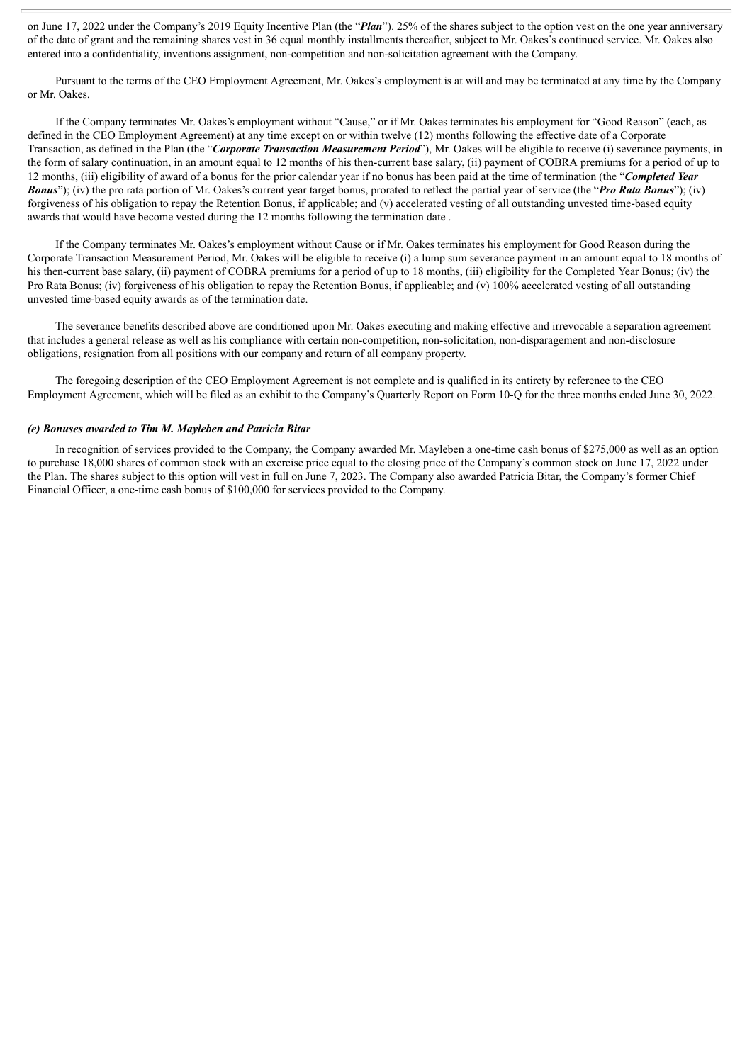on June 17, 2022 under the Company's 2019 Equity Incentive Plan (the "*Plan*"). 25% of the shares subject to the option vest on the one year anniversary of the date of grant and the remaining shares vest in 36 equal monthly installments thereafter, subject to Mr. Oakes's continued service. Mr. Oakes also entered into a confidentiality, inventions assignment, non-competition and non-solicitation agreement with the Company.

Pursuant to the terms of the CEO Employment Agreement, Mr. Oakes's employment is at will and may be terminated at any time by the Company or Mr. Oakes.

If the Company terminates Mr. Oakes's employment without "Cause," or if Mr. Oakes terminates his employment for "Good Reason" (each, as defined in the CEO Employment Agreement) at any time except on or within twelve (12) months following the effective date of a Corporate Transaction, as defined in the Plan (the "*Corporate Transaction Measurement Period*"), Mr. Oakes will be eligible to receive (i) severance payments, in the form of salary continuation, in an amount equal to 12 months of his then-current base salary, (ii) payment of COBRA premiums for a period of up to 12 months, (iii) eligibility of award of a bonus for the prior calendar year if no bonus has been paid at the time of termination (the "*Completed Year Bonus*"); (iv) the pro rata portion of Mr. Oakes's current year target bonus, prorated to reflect the partial year of service (the "*Pro Rata Bonus*"); (iv) forgiveness of his obligation to repay the Retention Bonus, if applicable; and (v) accelerated vesting of all outstanding unvested time-based equity awards that would have become vested during the 12 months following the termination date .

If the Company terminates Mr. Oakes's employment without Cause or if Mr. Oakes terminates his employment for Good Reason during the Corporate Transaction Measurement Period, Mr. Oakes will be eligible to receive (i) a lump sum severance payment in an amount equal to 18 months of his then-current base salary, (ii) payment of COBRA premiums for a period of up to 18 months, (iii) eligibility for the Completed Year Bonus; (iv) the Pro Rata Bonus; (iv) forgiveness of his obligation to repay the Retention Bonus, if applicable; and (v) 100% accelerated vesting of all outstanding unvested time-based equity awards as of the termination date.

The severance benefits described above are conditioned upon Mr. Oakes executing and making effective and irrevocable a separation agreement that includes a general release as well as his compliance with certain non-competition, non-solicitation, non-disparagement and non-disclosure obligations, resignation from all positions with our company and return of all company property.

The foregoing description of the CEO Employment Agreement is not complete and is qualified in its entirety by reference to the CEO Employment Agreement, which will be filed as an exhibit to the Company's Quarterly Report on Form 10-Q for the three months ended June 30, 2022.

#### *(e) Bonuses awarded to Tim M. Mayleben and Patricia Bitar*

In recognition of services provided to the Company, the Company awarded Mr. Mayleben a one-time cash bonus of \$275,000 as well as an option to purchase 18,000 shares of common stock with an exercise price equal to the closing price of the Company's common stock on June 17, 2022 under the Plan. The shares subject to this option will vest in full on June 7, 2023. The Company also awarded Patricia Bitar, the Company's former Chief Financial Officer, a one-time cash bonus of \$100,000 for services provided to the Company.